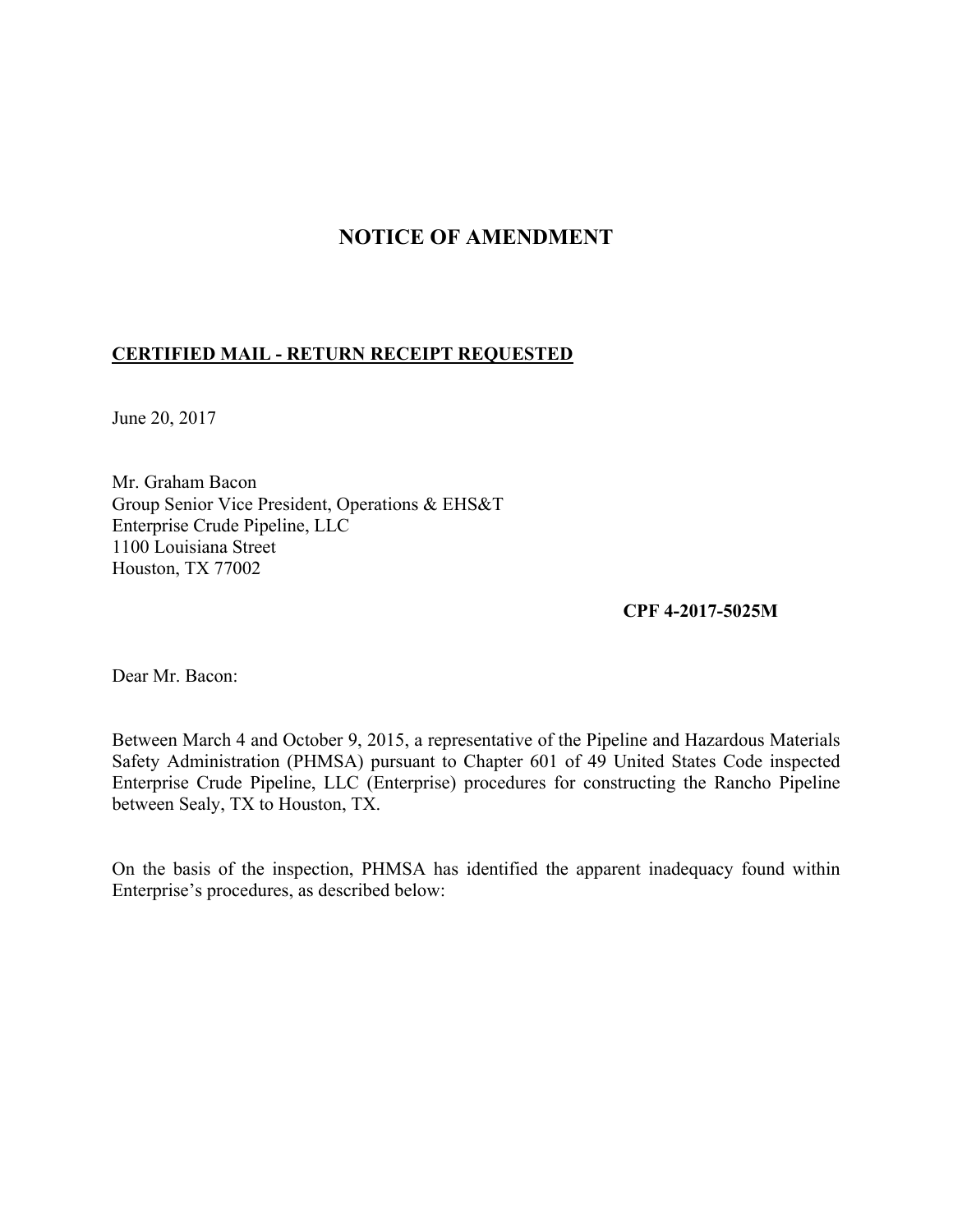## **NOTICE OF AMENDMENT**

## **CERTIFIED MAIL - RETURN RECEIPT REQUESTED**

June 20, 2017

Mr. Graham Bacon Group Senior Vice President, Operations & EHS&T Enterprise Crude Pipeline, LLC 1100 Louisiana Street Houston, TX 77002

**CPF 4-2017-5025M** 

Dear Mr. Bacon:

Between March 4 and October 9, 2015, a representative of the Pipeline and Hazardous Materials Safety Administration (PHMSA) pursuant to Chapter 601 of 49 United States Code inspected Enterprise Crude Pipeline, LLC (Enterprise) procedures for constructing the Rancho Pipeline between Sealy, TX to Houston, TX.

On the basis of the inspection, PHMSA has identified the apparent inadequacy found within Enterprise's procedures, as described below: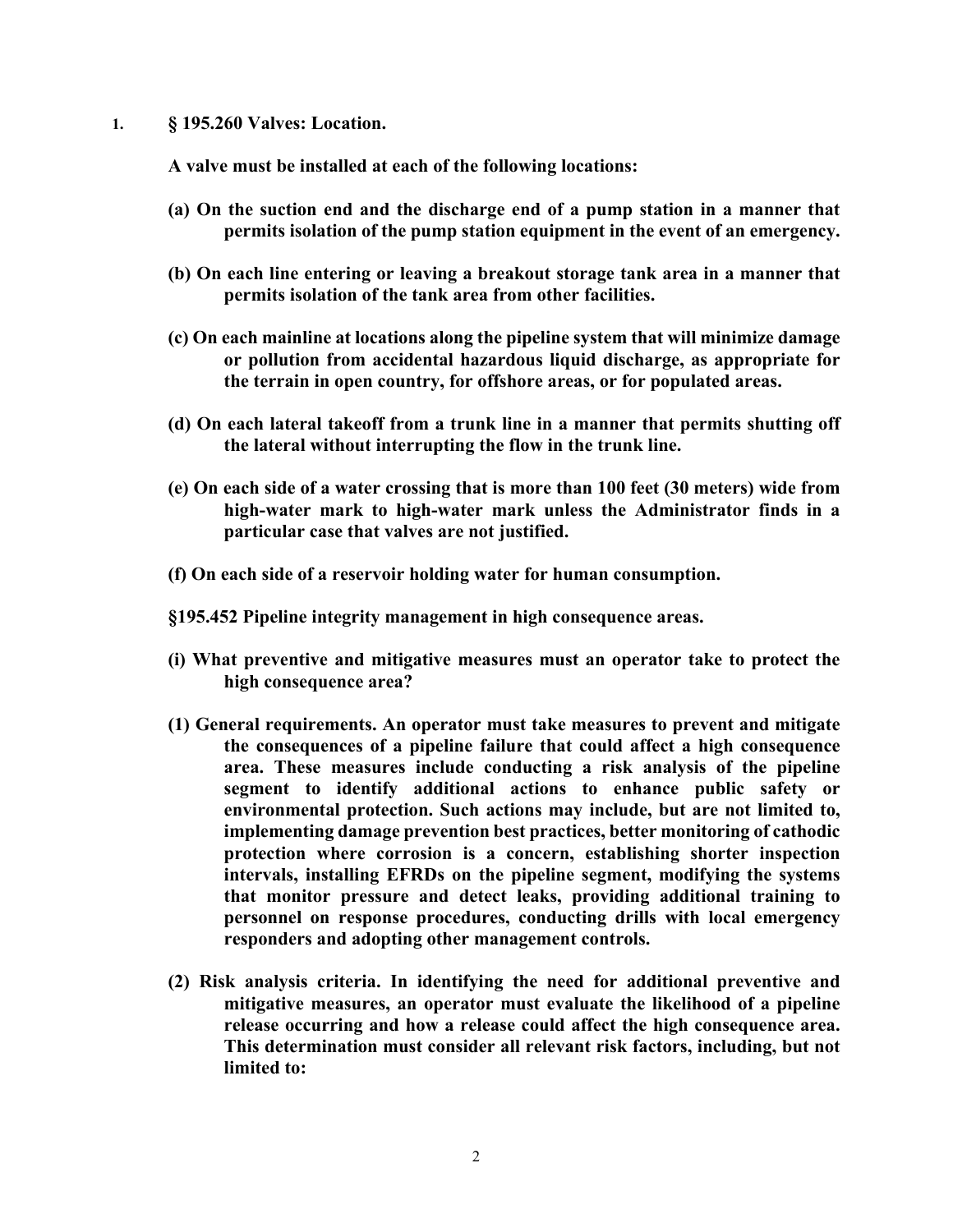**1. § 195.260 Valves: Location.** 

 **A valve must be installed at each of the following locations:** 

- **(a) On the suction end and the discharge end of a pump station in a manner that permits isolation of the pump station equipment in the event of an emergency.**
- **(b) On each line entering or leaving a breakout storage tank area in a manner that permits isolation of the tank area from other facilities.**
- **(c) On each mainline at locations along the pipeline system that will minimize damage or pollution from accidental hazardous liquid discharge, as appropriate for the terrain in open country, for offshore areas, or for populated areas.**
- **(d) On each lateral takeoff from a trunk line in a manner that permits shutting off the lateral without interrupting the flow in the trunk line.**
- **(e) On each side of a water crossing that is more than 100 feet (30 meters) wide from high-water mark to high-water mark unless the Administrator finds in a particular case that valves are not justified.**
- **(f) On each side of a reservoir holding water for human consumption.**
- **§195.452 Pipeline integrity management in high consequence areas.**
- **(i) What preventive and mitigative measures must an operator take to protect the high consequence area?**
- **(1) General requirements. An operator must take measures to prevent and mitigate the consequences of a pipeline failure that could affect a high consequence area. These measures include conducting a risk analysis of the pipeline segment to identify additional actions to enhance public safety or environmental protection. Such actions may include, but are not limited to, implementing damage prevention best practices, better monitoring of cathodic protection where corrosion is a concern, establishing shorter inspection intervals, installing EFRDs on the pipeline segment, modifying the systems that monitor pressure and detect leaks, providing additional training to personnel on response procedures, conducting drills with local emergency responders and adopting other management controls.**
- **(2) Risk analysis criteria. In identifying the need for additional preventive and mitigative measures, an operator must evaluate the likelihood of a pipeline release occurring and how a release could affect the high consequence area. This determination must consider all relevant risk factors, including, but not limited to:**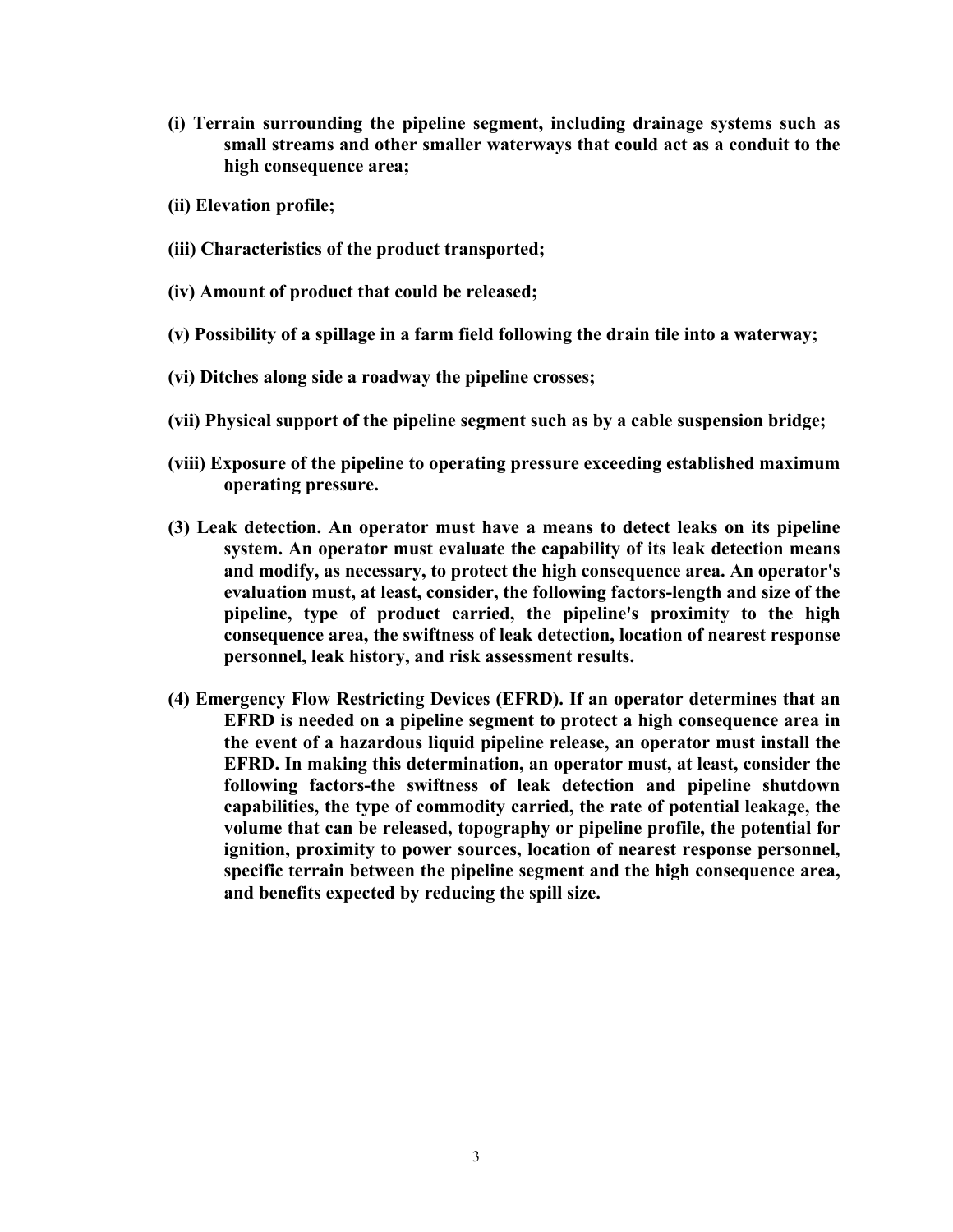- **(i) Terrain surrounding the pipeline segment, including drainage systems such as small streams and other smaller waterways that could act as a conduit to the high consequence area;**
- **(ii) Elevation profile;**
- **(iii) Characteristics of the product transported;**
- **(iv) Amount of product that could be released;**
- **(v) Possibility of a spillage in a farm field following the drain tile into a waterway;**
- **(vi) Ditches along side a roadway the pipeline crosses;**
- **(vii) Physical support of the pipeline segment such as by a cable suspension bridge;**
- **(viii) Exposure of the pipeline to operating pressure exceeding established maximum operating pressure.**
- **(3) Leak detection. An operator must have a means to detect leaks on its pipeline system. An operator must evaluate the capability of its leak detection means and modify, as necessary, to protect the high consequence area. An operator's evaluation must, at least, consider, the following factors-length and size of the pipeline, type of product carried, the pipeline's proximity to the high consequence area, the swiftness of leak detection, location of nearest response personnel, leak history, and risk assessment results.**
- **(4) Emergency Flow Restricting Devices (EFRD). If an operator determines that an EFRD is needed on a pipeline segment to protect a high consequence area in the event of a hazardous liquid pipeline release, an operator must install the EFRD. In making this determination, an operator must, at least, consider the following factors-the swiftness of leak detection and pipeline shutdown capabilities, the type of commodity carried, the rate of potential leakage, the volume that can be released, topography or pipeline profile, the potential for ignition, proximity to power sources, location of nearest response personnel, specific terrain between the pipeline segment and the high consequence area, and benefits expected by reducing the spill size.**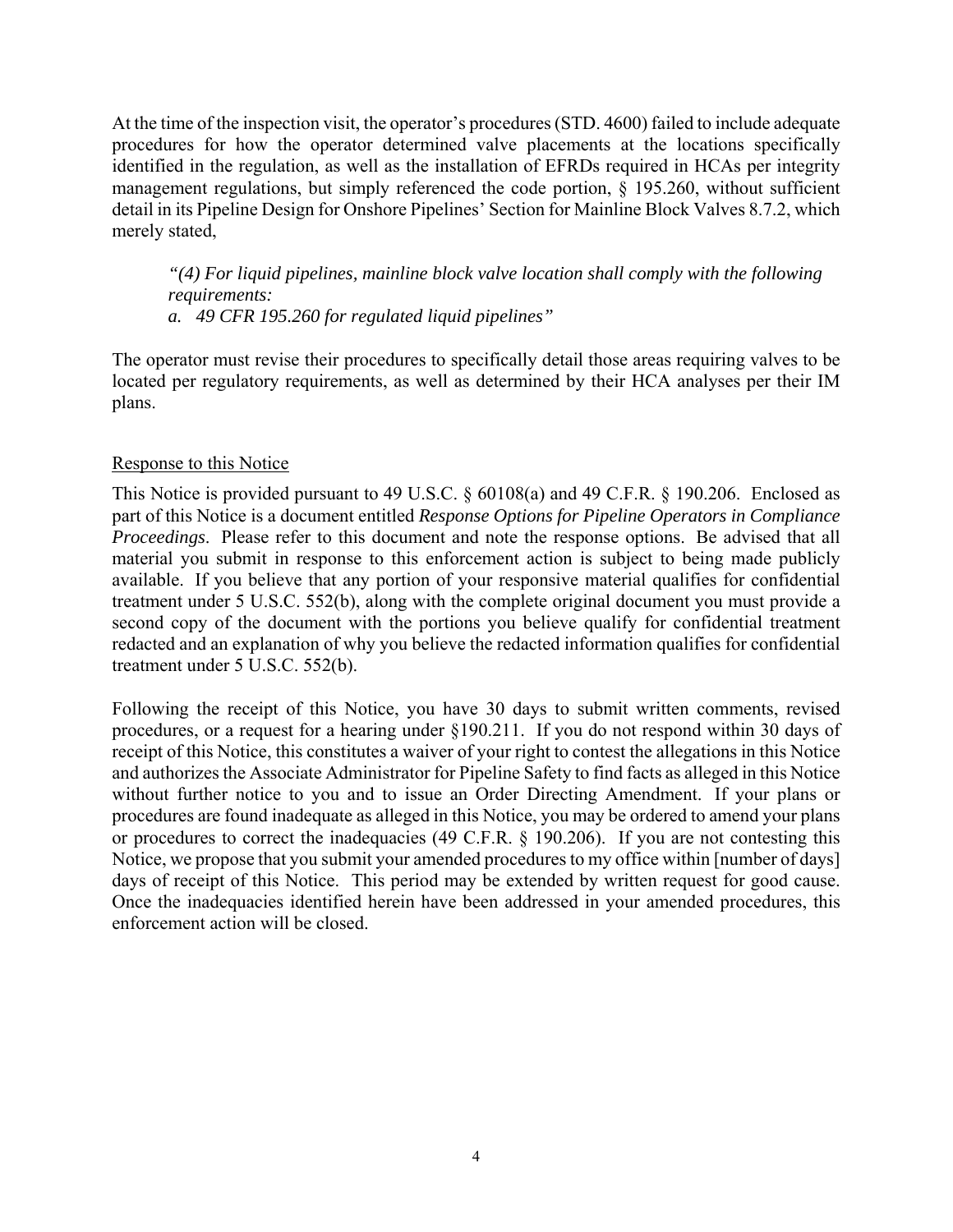At the time of the inspection visit, the operator's procedures (STD. 4600) failed to include adequate procedures for how the operator determined valve placements at the locations specifically identified in the regulation, as well as the installation of EFRDs required in HCAs per integrity management regulations, but simply referenced the code portion, § 195.260, without sufficient detail in its Pipeline Design for Onshore Pipelines' Section for Mainline Block Valves 8.7.2, which merely stated,

*"(4) For liquid pipelines, mainline block valve location shall comply with the following requirements:* 

*a. 49 CFR 195.260 for regulated liquid pipelines"* 

The operator must revise their procedures to specifically detail those areas requiring valves to be located per regulatory requirements, as well as determined by their HCA analyses per their IM plans.

## Response to this Notice

This Notice is provided pursuant to 49 U.S.C. § 60108(a) and 49 C.F.R. § 190.206. Enclosed as part of this Notice is a document entitled *Response Options for Pipeline Operators in Compliance Proceedings*. Please refer to this document and note the response options. Be advised that all material you submit in response to this enforcement action is subject to being made publicly available. If you believe that any portion of your responsive material qualifies for confidential treatment under 5 U.S.C. 552(b), along with the complete original document you must provide a second copy of the document with the portions you believe qualify for confidential treatment redacted and an explanation of why you believe the redacted information qualifies for confidential treatment under 5 U.S.C. 552(b).

Following the receipt of this Notice, you have 30 days to submit written comments, revised procedures, or a request for a hearing under §190.211. If you do not respond within 30 days of receipt of this Notice, this constitutes a waiver of your right to contest the allegations in this Notice and authorizes the Associate Administrator for Pipeline Safety to find facts as alleged in this Notice without further notice to you and to issue an Order Directing Amendment. If your plans or procedures are found inadequate as alleged in this Notice, you may be ordered to amend your plans or procedures to correct the inadequacies (49 C.F.R. § 190.206). If you are not contesting this Notice, we propose that you submit your amended procedures to my office within [number of days] days of receipt of this Notice. This period may be extended by written request for good cause. Once the inadequacies identified herein have been addressed in your amended procedures, this enforcement action will be closed.